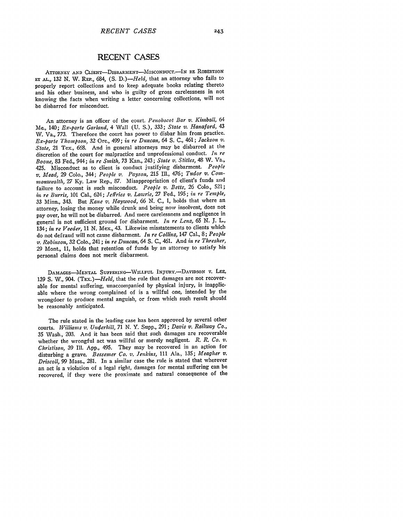ATTORNEY **AND** CLIENT-DISBARMENT-MISCONDUC.-IN **RE ROBERTSON Er AL.,** 132 N. W. REP., 684, **(S.** *D.)-Held,* that an attorney who fails to properly report collections and to keep adequate books relating thereto and his other business, and who is guilty of gross carelessness in not knowing the facts when writing a letter concerning collections, will not be disbarred for misconduct.

An attorney is an officer of the court. *Penobscot Bar v. Kimball,* 64 Me., 140; *Ex-parte Garland,* 4 Wall **(U.** S.), **333;** *State v. Hanaford,* <sup>43</sup> W. Va., *773.* Therefore the court has power to disbar him from practice. *Ex-parte Thompson,* **32** Ore., 499; *in re Duncan,* 64 **S. C.,** 461; *Jackson v. State,* 21 Tex., **668.** And in general attorneys may be disbarred at the discretion of the court for malpractice and unprofessional conduct. *In re Boone,* **83** Fed., 944; *in re Smith,* **73** Kan., 243; *State v. Stitles,* 48 W. Va., 425. Misconduct as to client is conduct justifying disbarment. *People v. Mead,* **29** Colo., 344; *People v. Payson,* **215** Ill., 476; *Tudor v. Cornmonwealth,* 27 **Ky.** Law Rep., **87.** Misappropriation of client's funds and failure to account is such misconduct. *People v. Betts,* **26** Colo., **521;** *in re Burris,* **101** Cal., 624; *Jeffries v. Lawrie,* **27** Fed., **195;** *in re Temple,* **<sup>33</sup>**Minn., 343. But *Kane v. Haywood,* **66 N.** *C.,* 1, holds that where an attorney, losing the money while drunk and being now insolvent, does not pay over, he will not be disbarred. And mere carelessness and negligence in general is not sufficient ground for disbarment. *In re Lenz,* **65 N. J.** L., 134; *in re Veeder,* 11 N. Mex., 43. Likewise misstatements to clients which do not defraud will not cause disbarment. *In re Collins,* 147 Cal., **8;** *People v. Robinson,* 32 Colo., 241; *in re Duncan,* 64 **S.** C., 461. And *in re Thresher,* 29 Mont., **11,** holds that retention of funds **by** an attorney to satisfy his personal claims does not merit disbarment.

**DAMAGES-MENTAL SUFFERING-WVILLFUL** INJURY.-DAVIDSON V. **LEE,** 139 S. W., 904. (TEx.)-Held, that the rule that damages are not recoverable for mental suffering, unaccompanied by physical injury, is inapplicable where the wrong complained of is a willful one, intended by the wrongdoer to produce mental anguish, or from which such result should be reasonably anticipated.

The rule stated in the leading case has been approved by several other courts. *Williams v. Underhill,* 71 N. Y. Supp., 291; *Davis v. Railway Co.,* **<sup>35</sup>**Wash., 203. And it has been said that such damages are recoverable whether the wrongful act was willful or merely negligent. *R. R. Co. v. Christison*, 39 Ill. App., 495. They may be recovered in an action for disturbing a grave. *Bessemer Co. v. Jenkins,* **111** Ala., **135;** *Meagher v. Driscoll,* 99 Mass., 281. In a similar case the rule is stated that wherever an act is a violation of a legal right, damages for mental suffering can be recovered, if they were the proximate and natural consequence of the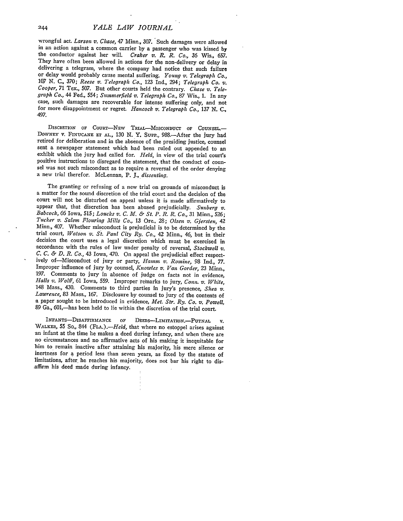wrongful act. *Larson v. Chase*, 47 Minn., 307. Such damages were allowed in an action against a common carrier by a passenger who was kissed by the conductor against her will. *Craker v. R. R. Co.*, 36 Wis., 657. They have often been allowed in actions for the non-delivery or delay in delivering a telegram, where the company had notice that such failure or delay would probably cause mental suffering. *Young v. Telegraph Co.*, *<sup>107</sup>***N. C.,** 370; *Reese v. Telegraph Co.,* 123 Ind., 294; *Telegraph Co. v. Cooper,* 71 Tex., 507. But other courts held the contrary. *Chase v. Tele- -graph Co.,* 44 Fed., 554; *Summerfield v. Telegraph Co.,* 87 Wis., 1. In any case, such damages are recoverable for intense suffering only, and not for more disappointment or regret. *Hancock v. Telegraph Co., 137 N. C.,* 497.

DISCRETION **OF** COURT-NEw TRIAL-MISCONDUCT OF **COUNSEL.-** DOWNEY v. FINUCANE **ET AL.,** 130 N. Y. Supp., 988.-After the jury had retired for deliberation and in the absence of the presiding justice, counsel sent a newspaper statement which had been ruled out appended to an exhibit which the jury had called for. *Held*, in view of the trial court's positive instructions to disregard the statement, that the conduct of counpositive instructions to disregard the statement, that the conduct of coun- sel was not such misconduct as to require a reversal of the order denying a new trial therefor. McLennan, P. *J., dissenting.*

The granting or refusing of a new trial on grounds of misconduct is a matter for the sound discretion of the trial court and the decision of the court will not be disturbed on appeal unless it is made affirmatively to appear that, that discretion has been abused prejudicially. Sunberg  $v$ . appear that, that discretion has been abused prejudicially. *Sunberg v. Babcock,* 66 Iowa, 515; *Loucks v. C. M. & St. P. R. R. Co.,* 31 Minn., 526; *Tucker v. Salem Flouring Mills Co.,* 13 Ore., 28; *Olsen v. Giersten,* 42 Minn., 407. Whether misconduct is prejudicial is to be determined by the trial court, *Watson v. St. Paul City Ry. Co.,* 42 Minn., 46, but in their decision the court uses a legal discretion which must be exercised in accordance with the rules of law under penalty of reversal, Stockwell v. C. C. & D. R. Co., 43 Iowa, 470. On appeal the prejudicial effect respectively of—Misconduct of jury or party, Hamm v. Romine, 98 Ind., 77. Improper influence of jury by counsel, *Knowles v. Van Gorder,* **23** Minn., 197. Comments to jury in absence of judge on facts not in evidence, *Halls v. Wolff,* 61 Iowa, 559. Improper remarks to jury, *Conn. v. White,* 148 Mass., 430. Comments to third parties in jury's presence, *Shea v. Lawrence*, 83 Mass., 167. Disclosure by counsel to jury of the contents of a paper sought to be introduced in evidence, *Met. Str. Ry. Co. v. Powell* 89 Ga., 601,-has been held to lie within the discretion of the trial court.

INFANTS-DISAFFIRMANCE OF DEEDS-LIMITATION.-PUTNAL V. WALKER, 55 So., 844 (FLA.).—*Held*, that where no estoppel arises against<br>an infant at the time he makes a deed during infancy, and when there are<br>no circumstances and no affirmative acts of his making it inequitable for him to remain inactive after attaining his majority, his mere silence or inertness for a period less than seven years, as fixed by the statute of limitations, after he reaches his majority, does not bar his right to disaffirm his deed made during infancy.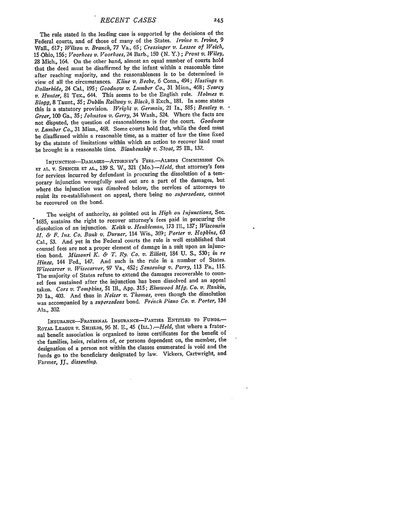The rule stated in the leading case is supported by the decisions of the Federal courts, and of those of many of the States. *Irvine v. Irvine, 9* Wall., 617; *Wilson v. Branch,* 77 Va., 65; *Cressinger v. Lessee of Welch,* 15 -Ohio, 156; *Voorhees v. Voorhees,* 24 Barb., 150 (N. *Y.); Prout v. Wiley,* 28 Mich., 164. On the other hand, almost an equal number of courts hold that the deed must be disaffirmed by the infant within a reasonable time after reaching majority, and the reasonableness is to be determined in view of all the circumstances. *Kline v. Beebe,* 6 Conn., 494; *Hastings v. Dollarhide,* 24 Cal., 195; *Goodnow v. Lumber Co.,* 31 Minn., 468; *Searcy v. Hunter,* 81 Tex., 644. This seems to be the English rule. *Holmes v. Blogg,* 8 Taunt., 35; *Dublin Railway v. Black,* 8 Exch., 181. In some states this is a statutory provision. *Wright v. Germain,* 21 Ia., 585; *Bentley v. Greer,* 100 Ga., 35; *Johnston v. Gerry,* 34 Wash., 524. Where the facts are not disputed, the question of reasonableness is for the court. *Goodnow v. Lumber Co.,* 31 Minn., 468. Some courts hold that, while the deed must be disaflirmed within a reasonable time, as a matter of law the time fixed by the statute of limitations within which an action to recover land must be brought is a reasonable time. *Blankenship v. Stoat,* 25 Ill., 132.

INJUNCTION-DAMAGES-ATTORNEY'S FEES. ALBERS COMMISSION CO. **ET AL.** V. SPENCER **ET AL.,** 139 **S.** W., 321 *(Mo.)-Held,* that attorney's fees for services incurred by defendant in procuring the dissolution of a temporary injunction wrongfully sued out are a part of the damages, but where the injunction was dissolved below, the services of attorneys to resist its re-establishment on appeal, there being no *supersedeas,* cannot be recovered on the bond.

The weight of authority, as pointed out in *High on Injunctions,* Sec. 1685, sustains the right to recover attorney's fees paid in procuring the dissolution of an injunction. *Keith v. Henklentan, 173* **IIl.,** 137; *Wisconsin AM. & F. Ins. Co. Bank v. Durner,* 114 Wis., 369; *Porter v. Hopkins,* <sup>63</sup> Cal., **53.** And yet in the Federal courts the rule is well established that counsel fees are not a proper element of damage in a suit upon an injunction bond. *Missouri K. & T. Ry. Co. v. Elliott,* 184 **U. S.,** 530; *in re Hinew,* 144 Fed., 147. And such is the rule in a number of States. *Wisecarver v. Wisecarver,* 97 Va., 452; *Sensening v. Parry,* 113 Pa., 115. The majority of States refuse to extend the damages recoverable to counsel fees sustained after the injunction has been dissolved and an appeal taken. *Cors v. Tompkins,* **51 Ill.,** App. 315; *Elmwood Mfg. Co. v. Rankin,* 70 Ia., 403. And thus in *Neiser v. Thomas,* even though the dissolution was accompanied by a *supersedeas* bond. *French Piano Co. v. Porter*, 134 Ala., 302.

INSURANCE-FRATERNAL INSURANcE-PARTIES **ENTITLED To** FUNDS-ROYAL LEAGUE V. SHIELDS, 96 **N. E.,** 45 (ILL.) *.- Held,* that where a fraternal benefit association is organized to issue certificates for the benefit of the families, heirs, relatives of, or persons dependent on, the member, the designation of a person not within the classes enumerated is void and the funds go to the 'beneficiary designated **by** law. Vickers, Cartwright, and Farmer, *J., dissenting.*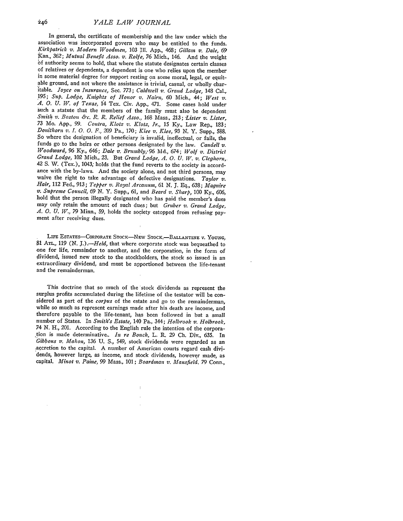In general, the certificate of membership and the law under which the association was incorporated govern who may be entitled to the funds. *Kirkpatrick v. Modern Woodmen,* 103 **Il1.** App., 468; *Gillam v. Dale,* **<sup>69</sup>** of authority seems to hold, that where the statute designates certain classes of relatives or dependents, a dependent is one who relies upon the member in some material degree for support resting on some moral, legal, or equitable ground, and not where the assistance is trivial, casual, or wholly charitable. *Joyce on Insurance,* Sec. *773; Caldwell v. Grand Lodge,* 148 Cal., 195; *Sup. Lodge, Knights of Honor v. Nairn,* 60 Mich., 44; *West v. A. 0. U. W. of Texas,* 14 Tex. Civ. App., 471. Some cases hold under such a statute that the members of the family must also be dependent *Smith v. Boston &c. R. R. Relief Asso.,* 168 Mass., 213; *"Lister* v. *Lister,* 73 Mo. **App.,** *99. Contra, Klotz z'. Klotz, Jr.,* 15 Ky., Law Rep., 183; *Donithorn v. I. 0. 0. F., 209* Pa., 170; *Klee v. Klee, 93* N. Y. Supp., 588. So where the designation of beneficiary is invalid, ineffectual, or fails, the funds go to the heirs or other persons designated by the law. *Caudell v. Woodward,* 96 Ky., 646; *Dale v. Brumbly,-96* Md., 674; *Wolf v. District Grand Lodge,* 102 Mich., 23. But *Grand Lodge, A. 0. U.* W. *v. Cleghorn,* 42 S. V. (Tex.), 1043; holds that the fund reverts to the society in accordance with the by-laws. And the society alone, and not third persons, may waive the right to take advantage of defective designations. Taylor  $v$ . waive the right to take advantage of defective designations. *Taylor v. Hair,* 112 Fed., 913; *Tepper v. Royal Arcanum, 61 N.* **J. Eq.,** 638; *Maguire v. Supreme Council, 69* N. Y. Supp., 61, and *Beard v. Sharp,* 100 Ky., 606, hold that the person illegally designated who has paid the member's dues may only retain the amount of such dues; but *Gruber v. Grand Lodge, A. 0. U. W.,* 79 Minn., 59, holds the society estopped from refusing payment after receiving dues.

LIFE ESTATES-CORPORATE STOCK-NEW STOCK.-BALLANTINE V. YOUNG, 81 ATL., 119 (N. J.).-*Held*, that where corporate stock was bequeathed to one for life, remainder to another, and the corporation, in the form of dividend, issued new stock to the stockholders, the stock so issued is an extraordinary dividend, and must be apportioned between the life-tenant and the remainderman.

This doctrine that so much of the stock dividends as represent the surplus profits accumulated during the lifetime of the testator will be considered as part of the *corpus* of the estate and go to the remainderman, while so much as represent earnings made after his death are income, and therefore payable to the life-tenant, has been followed in but a small number of States. In *Smith's Estate,* 140 Pa., 344; *Holbrook v. Holbrook,* 74 N. H., 201. According to the English rule the intention of the corporation is made determinative.. *In re Bouch,* L. R. 29 **Ch.** Div., **635.** In *Gibbons v. Mahon,* 136 **U. S.,** 549, stock dividends were regarded as an -accretion to the capital. **A** number of American courts regard cash dividends, however large, as income, and stock dividends, however made, as capital. *Minot v. Paine, 99* Mass., 101; *Boardman v. Mansfield.* **79** Conn.,

÷,

246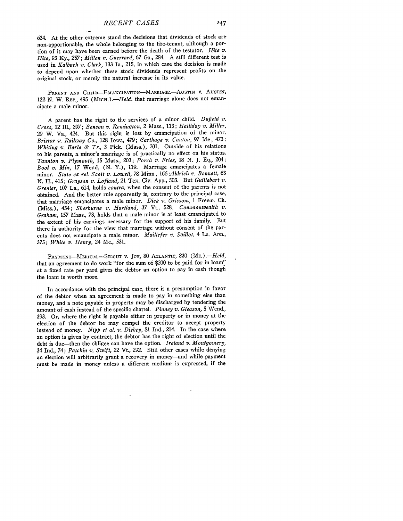634. At the other extreme stand the decisions that dividends of stock are non-apportionable, the whole belonging to the life-tenant, although a portion of it may have been earned before the death of the testator. *Hite v. Hite,* 93 Ky., 257; *Millen v. Guerrard,* 67 Ga., 284. *A* still different test is used in *Kalbach v. Clark,* 133 Ia., 215, in which case the decision is made to depend upon whether these stock dividends represent profits on the original stock, or merely the natural increase in its value.

PARENT AND CHILD-EMANCIPATION-MARRIAGE.-AUSTIN V. AUSTIN, 132 N. W. REP., 495 (MICH.). - Held. that marriage alone does not emancipate a male minor.

**A** parent has the right to the services of a minor child. *Ditfield v, Cross,* 12 IIl., 397; *Benson v. Remington,* 2 Mass., 113; *Halliday v. Miller,* 29 W. Va., 424. But this right is lost **by** emancipation of the minor. *Bristor v. Railway Co.,* **128** Iowa, 479; *Carthage v. Canton, 97* Me, 473; *Whiting v. Earle & Tr.,* 3 Pick. (Mass.), 201. Outside of his relations to his parents, a minor's marriage is of practically no effect on his status. *Taunton v. Plymouth,* **15** Mass., 203; *Porch v. Fries,* **18 N.** J. Eq., 204; *Bool v. Mix,* 17 Wend. (N. Y.), 119. Marriage emancipates a female minor. *State ex rel. Scott v. Lowell,* **78** Minn, *166;Aldrich v. Bennett,* **63** N. H., 415; *Grayson v. Lofland,* 21 Tex. Civ. App., 503. But *Guillebart v. Grenier,* 107 La., 614, holds *contra,* when the consent of the parents is not obtained. And the better rule apparently is, contrary to the principal case, that marriage emancipates a male minor. *Dick v. Grissom,* 1 Freem. Ch. (Miss.), 434; *Sherburne v. Hartland,* **37** Vt., **528.** *Commonwealth v. Graham,* **157** Mass., 73, holds that a male minor is at least emancipated to the extent of his earnings necessary for the support of his family. But there is authority for the view that marriage without consent of the parents does not emancipate a male minor. *Maillefer v. Saillot,* 4 La. Ann., 375; *White v. Henry,* 24 Me., 531.

**PAYMENT-MEDIUM.-STROUT** V. Joy, 80 **ATLANTIC,** 830 *(ME.) .- Held,* that an agreement to do work "for the sum of \$200 to be paid for in loam" at a fixed rate per yard gives the debtor an option to pay in cash though the loam is worth more.

In accordance with the principal case, there is a presumption in favor of the debtor when an agreement is made to pay in something else than money, and a note payable in property may be discharged by tendering the amount of cash instead of the specific chattel. *Pinney v. Gleason,* 5 Wend., 393. Or, where the right is payable either in property or in money at the election of the debtor he may compel the creditor to accept property instead of money. *Nipp et al. v. Diskey,* 81 Ind., 214. In the case where an option is given by contract, the debtor has the right of election until the debt is due-then the obligee can have the option. *Ireland v. Montgomery,* 34 Ind., 74; *Patchin v. Swift,* 22 Vt., 292. Still other cases while denying an election will arbitrarily grant a recovery in money-and while payment must be made in money unless a different medium is expressed, if the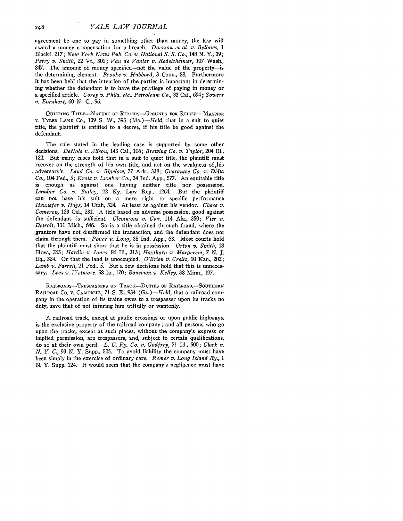agreement be one to pay in something other than money, the law will award a money compensation for a breach. *Duerson et al. v. Bellows, 1* Blackf. 217; *New York News Pub. Co. v. National S. S. Co.,* 148 N. Y., 39; *Perry v. Smith,* 22 Vt., 301; *Van de Vanter v. Redelsheimer,* 107 Wash., 847. The amount of money specified—not the value of the property—is the determining element. *Brooks v. Hubbard,* 3 Conn., 58. Furthermore it has been held that the intention of the parties is important in determining whether the defendant is to have the privilege of paying in money or a specified article. *Corey v. Phila. etc., Petroleum Co.,* 33 Cal., 694; *Sowers v. Earnhart,* 60 N. C., *96.*

QUIETING TITLE-NATURE OF REMEDY-GROUNDS FOR RELIEF. MAYNOR v. TYLER LAND Co., 139 S. W., 393 *(Mo.)-Held*, that in a suit to quiet title, the plaintiff is entitled to a decree, if his title be good against the defendant.

The rule stated in the leading case is supported by some other decisions. *DeNola v. Alison,* 143 Cal., 106; *Brewing Co. v. Taylor,* 204 Ill., 132. But many cases hold that in a suit to quiet title, the plaintiff must recover on the strength of his own title, and not on the weakness of his adversary's. *Land Co. v. Bigelow,* 77 Ark., 338; *Guarantee Co. v. Delta Co.,* 104 Fed., 5; *Krotz v. Lumber Co.,* 34 Ind. App., 577. An equitable title is enough as against one having neither title nor possession. *Lumber Co. v. Bailey,* 22 Ky. Law Rep., 1264. But the plaintiff can not base his suit on a mere right to specific performance *Hennefer v. Hays,* 14 Utah, 324. At least as against his vendor. *Chase v. Cameron,* 133 Cal., 231. A title based on adverse possession, good against the defendant, is sufficient. *Clemmnons v. Coxr,* 114 Ala., 350; *Vier v. Detroit,* 111 Mich., 646. So is a title obtained through fraud, where the grantors have not disaffirmed the transaction, and the defendant does not claim through them. *Ponce v. Long,* 38 Ind. App., 63. Most courts hold that the plaintiff must show that he is in possession. *Orton v. Smith,* 18 How., 263; *Hardin v. Jones, 86* Ill., 313; *Haythorn v. Margerein, 7 N. J.* Eq., 324. Or that the land is unoccupied. *O'Brien v. Creitz,* 10 Kan., 202; *Lamb v. Farrell,* 21 Fed., 5. But a few decisions hold that this is unnecessary. *Lees v. Wetmore,* 58 Ia., 170; *Bausinan v. Kelley,* 38 Minn., 197.

RAILROADS-TRESPASSERS **ON** TRAcK-DUTIES OF RAILROAD.-SOUTHERN RAILROAD Co. v. CAMPBELL, 71 **S.** E., 934 *(GA.)-Held,* that a railroad company in the operation of its trains owes to a trespasser upon its tracks no duty, save that of not injuring him wilfully or wantonly.

**A** railroad track, except at public crossings or upon public highways, is the exclusive property of the railroad company; and all persons who go upon the tracks, except at such places, without the company's express or implied permission, are trespassers, and, subject to certain qualifications, do so at their own peril. *L. C. Ry. Co. v. Godfrey,* 71 Ill., 500; *Clark v. N. Y. C., 93* N. Y. Supp., 525. To avoid liability the company must have been simply in the exercise of ordinary care. *Remer v. Long Island Ry., I* N. Y. Supp. 124. It would seem that the company's negligence must have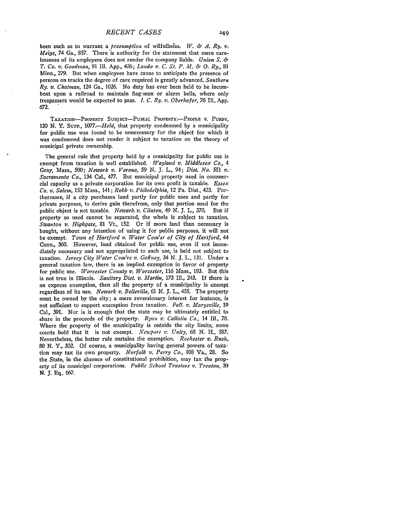been such as to warrant a *presumption* of wilfullness. *W. & A. Ry. v. Meigs,* 74 Ga., **857.** There is authority for the statement that mere carelessness of its employees does not render the company liable. *Union S. & T. Co. v. Goodman,* **91 Ill. App.,** 426; *Lando v. C. St. P. Al. & 0. Ry.,* **81** Minn., **279.** But when employees have cause to anticipate the presence of persons on tracks the degree of care required is greatly advanced. *Southern Ry. v. Chatnman,* 124 Ga., **1026.** No duty has ever been held to be incumbent upon a railroad to maintain flag-men or alarm bells, where only trespassers would be expected to pass. *I. C. Ry. v. Oberhofer, 76* **IlL\_ App. 672.**

TAXATION-PROPERTY SUBJECT-PUBLIC PROPERTY.-PEOPLE V. PURDY, **130** N. Y. Supp., *1077 Held,* that property condemned **by** a municipality for public use was found to be unnecessary for the object for which it was condemned does not render it subject to taxation on the theory of municipal private ownership.

The general rule that property held **by** a municipality for public use is exempt from taxation is well established. *Wayland v. Middlesex Co., 4* Gray, Mass., 500; *Newark v. Verona,* **59 N.** *J.* L., 94; *Dist. No.* **551** *v.* **-** *Sacramento Co.,* 134 Cal., 477. But municipal property used in commercial capacity as a private corporation for its own profit is taxable. *Essex Co. v. Salem,* **153** Mass., 141; *Robb v. Philadelphia,* 12 Pa. Dist., 423. Furthermore, if a city purchases land partly for public uses and partly for private purposes, to derive gain therefrom, only that portion used for the public object is not taxable. *Newark, v. Clinton,* 49 N. *J.* L., 370. But if property so used cannot be separated, the whole is subject to taxation. *Swanton v. Highgate,* 81 Vt., 152. Or if more land than necessary is bought, without any intention of using it for public purposes, it will not be exempt. *Town of Hartford v. Water Com'sr of City of Hartford, 44* Conn., 360. However, land obtained for public use, even if not immediately necessary and not appropriated to such use, is held not subject to taxation. *Jersey City Water Com'rs v. Gaffney,* 34 N. **J.** L., 131. Under a general taxation law, there is an implied exemption in favor of property for public use. *Worcester County v. Worcester,* 116 Mass., 193. But this, is not true in Illinois. *Sanitary Dist. v. Martin,* 173 Ill., 243. If there is an express exemption, then all the property of a municipality is exempt regardless of its use. *Newark v. Belleville,* 61 N. **J.** L., 455. The property must be owned by the city; a mere reversionary interest for instance, is not sufficient to support exemption from taxation. *Fall. v. Marysville,* 19 Cal., 391. Nor is it enough that the state may be ultimately entitled to share in the proceeds of the property. *Ryan v. Callatin Co.,* 14 **Ill., 78.** Where the property of the municipality is outside the city limits, some courts hold that it is not exempt. *Newport v. Unity,* **68 N.** H., **587.** Nevertheless, the better rule sustains the exemption. *Rochester v. Rush,* **80** N. Y., 302. **Of** course, a municipality having general powers of taxation may tax its own property. *Norfolk v. Perry Co.,* 108 Va., **28.** So the State, in the absence of constitutional prohibition, may tax the property of its municipal corporations. *Public School Trustees v. Trenton,* **30** *N.* J. Eq., 667.